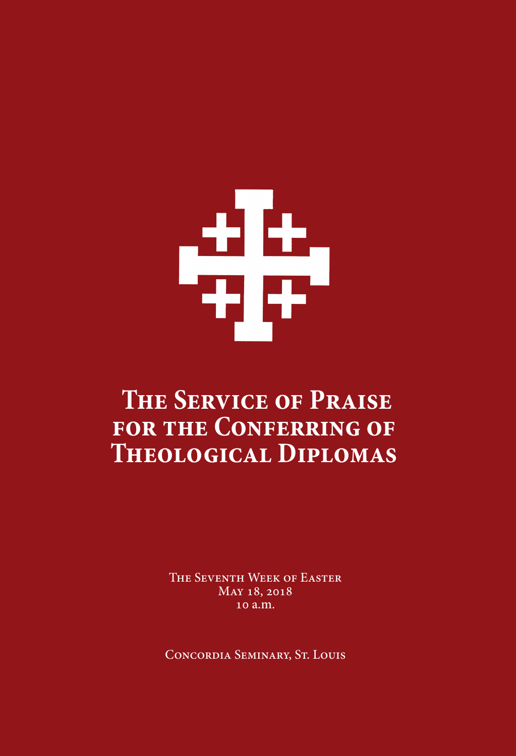# 

# **The Service of Praise for the CONFERRING OF Theological Diplomas**

The Seventh Week of Easter May 18, 2018 10 a.m.

Concordia Seminary, St. Louis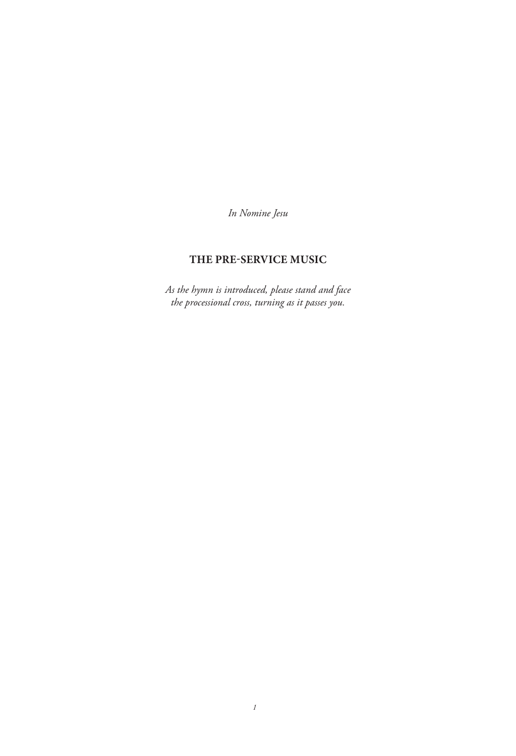*In Nomine Jesu*

# **THE PRE-SERVICE MUSIC**

*As the hymn is introduced, please stand and face the processional cross, turning as it passes you.*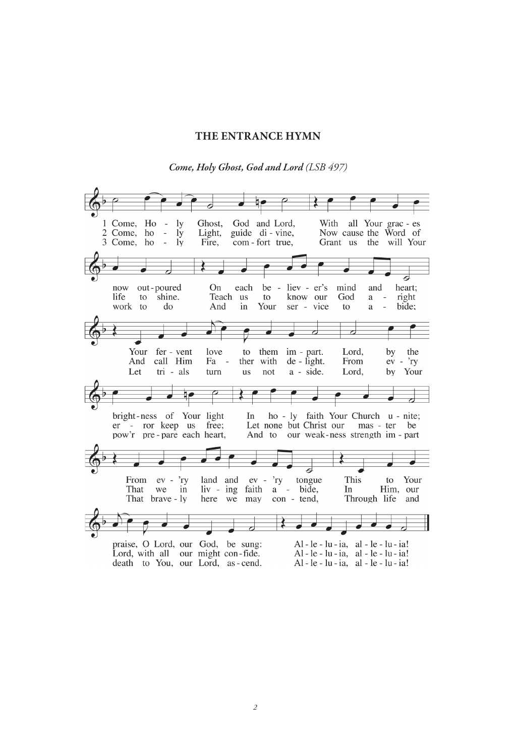#### **THE ENTRANCE HYMN**

*Come, Holy Ghost, God and Lord (LSB 497)*

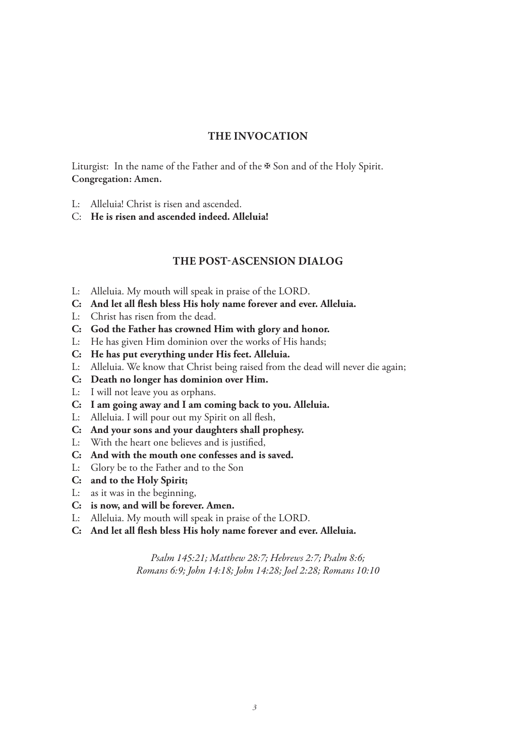#### **THE INVOCATION**

Liturgist: In the name of the Father and of the ✠ Son and of the Holy Spirit. Congregation: Amen.

- L: Alleluia! Christ is risen and ascended.
- C: **He is risen and ascended indeed. Alleluia!**

#### **THE POST-ASCENSION DIALOG**

- L: Alleluia. My mouth will speak in praise of the LORD.
- **C: And let all flesh bless His holy name forever and ever. Alleluia.**
- L: Christ has risen from the dead.
- **C: God the Father has crowned Him with glory and honor.**
- L: He has given Him dominion over the works of His hands;
- **C: He has put everything under His feet. Alleluia.**
- L: Alleluia. We know that Christ being raised from the dead will never die again;
- **C: Death no longer has dominion over Him.**
- L: I will not leave you as orphans.
- **C: I am going away and I am coming back to you. Alleluia.**
- L: Alleluia. I will pour out my Spirit on all flesh,
- **C: And your sons and your daughters shall prophesy.**
- L: With the heart one believes and is justified,
- **C: And with the mouth one confesses and is saved.**
- L: Glory be to the Father and to the Son
- **C: and to the Holy Spirit;**
- L: as it was in the beginning,
- **C: is now, and will be forever. Amen.**
- L: Alleluia. My mouth will speak in praise of the LORD.
- **C: And let all flesh bless His holy name forever and ever. Alleluia.**

*Psalm 145:21; Matthew 28:7; Hebrews 2:7; Psalm 8:6; Romans 6:9; John 14:18; John 14:28; Joel 2:28; Romans 10:10*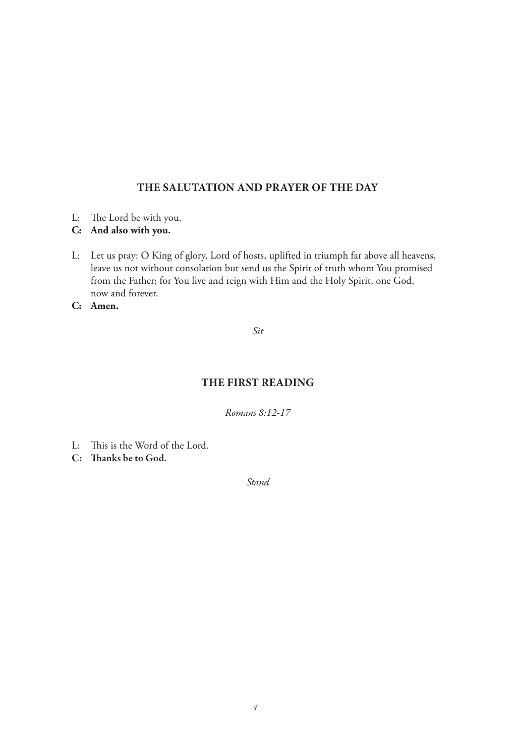#### **THE SALUTATION AND PRAYER OF THE DAY**

- L: The Lord be with you.
- **C: And also with you.**
- L: Let us pray: O King of glory, Lord of hosts, uplifted in triumph far above all heavens, leave us not without consolation but send us the Spirit of truth whom You promised from the Father; for You live and reign with Him and the Holy Spirit, one God, now and forever.
- **C: Amen.**

*Sit*

## **THE FIRST READING**

*Romans 8:12-17*

- L: This is the Word of the Lord.
- C: Thanks be to God.

*Stand*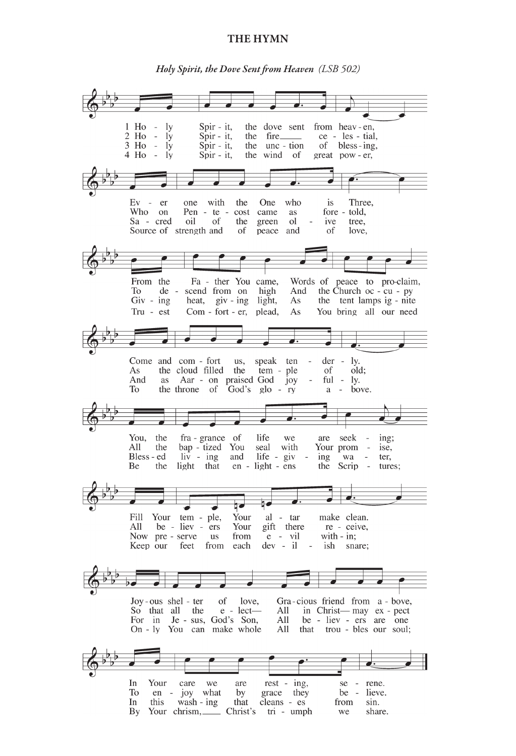#### **THE HYMN**

*Holy Spirit, the Dove Sent from Heaven (LSB 502)*

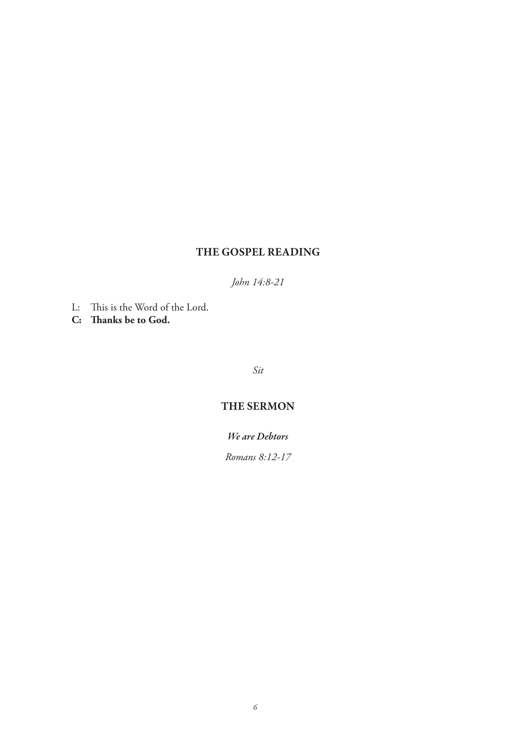# **THE GOSPEL READING**

*John 14:8-21*

- L: This is the Word of the Lord.
- **C: Thanks be to God.**

*Sit*

# **THE SERMON**

*We are Debtors*

*Romans 8:12-17*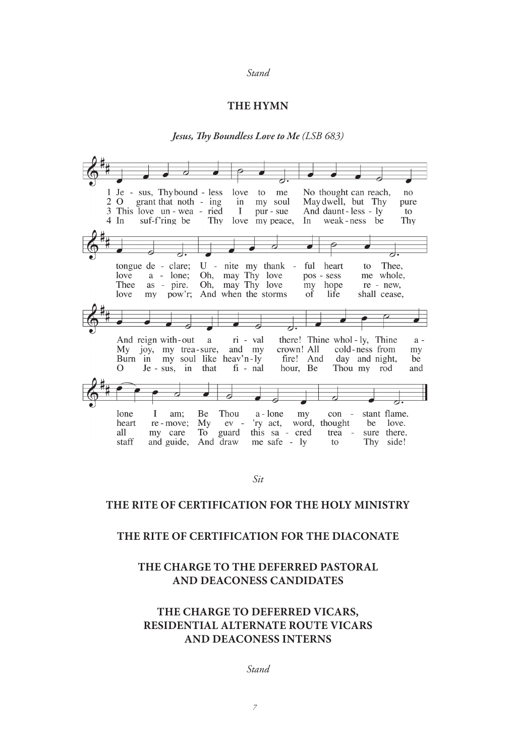#### *Stand*

#### **THE HYMN**

#### *Jesus, Thy Boundless Love to Me (LSB 683)*

Je - sus, Thybound - less 1 love  $f_{\Omega}$ me No thought can reach,  $n<sub>0</sub>$ 2 O May dwell, but Thy grant that noth - ing  $in$ my soul pure 3 This love un - wea - ried And daunt-less - ly  $\bf{I}$ pur - sue to weak-ness be suf-f'ring be  $4 \text{ In}$ Thy Thy love my peace, In U - nite my thank tongue de - clare; ful heart Thee, to  $a - l$ one; Oh, may Thy love pos - sess me whole, love Oh, may Thy love as - pire. hope Thee my re - new, shall cease, love my pow'r; And when the storms of life And reign with-out  $\rm{a}$ ri - val there! Thine whol-ly, Thine  $a$ crown! All My joy, my trea-sure, and my cold-ness from my fire! And<br>hour, Be Burn in my soul like heav'n-ly day and night, be  $\mathcal{O}$  $Je - sus, in$ that  $fi$  -  $nal$ Thou my rod and stant flame. lone  $\mathbf I$ am: Be Thou a - lone my con 'ry act, word, thought<br>this sa - cred trea -<br>me safe - ly to heart re - move; My  $ev$ be love.  $\operatorname{all}$ guard sure there. my care To trea -And draw and guide, Thy side! staff

#### **THE RITE OF CERTIFICATION FOR THE HOLY MINISTRY**

#### **THE RITE OF CERTIFICATION FOR THE DIACONATE**

#### **THE CHARGE TO THE DEFERRED PASTORAL AND DEACONESS CANDIDATES**

#### **THE CHARGE TO DEFERRED VICARS, RESIDENTIAL ALTERNATE ROUTE VICARS AND DEACONESS INTERNS**

*Stand*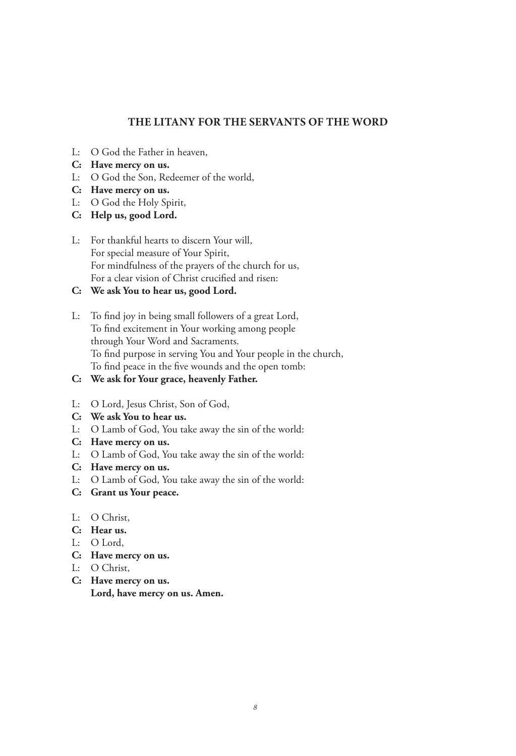#### **THE LITANY FOR THE SERVANTS OF THE WORD**

- L: O God the Father in heaven,
- **C: Have mercy on us.**
- L: O God the Son, Redeemer of the world,
- **C: Have mercy on us.**
- L: O God the Holy Spirit,
- **C: Help us, good Lord.**
- L: For thankful hearts to discern Your will, For special measure of Your Spirit, For mindfulness of the prayers of the church for us, For a clear vision of Christ crucified and risen:
- **C: We ask You to hear us, good Lord.**
- L: To find joy in being small followers of a great Lord, To find excitement in Your working among people through Your Word and Sacraments. To find purpose in serving You and Your people in the church, To find peace in the five wounds and the open tomb:
- **C: We ask for Your grace, heavenly Father.**
- L: O Lord, Jesus Christ, Son of God,
- **C: We ask You to hear us.**
- L: O Lamb of God, You take away the sin of the world:
- **C: Have mercy on us.**
- L: O Lamb of God, You take away the sin of the world:
- **C: Have mercy on us.**
- L: O Lamb of God, You take away the sin of the world:
- **C: Grant us Your peace.**
- L: O Christ,
- **C: Hear us.**
- L: O Lord,
- **C: Have mercy on us.**
- L: O Christ,
- **C: Have mercy on us. Lord, have mercy on us. Amen.**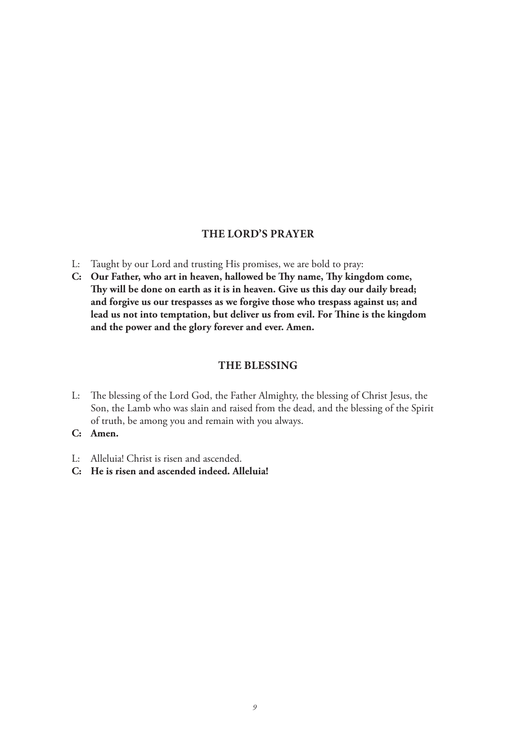#### **THE LORD'S PRAYER**

- L: Taught by our Lord and trusting His promises, we are bold to pray:
- **C: Our Father, who art in heaven, hallowed be Thy name, Thy kingdom come, Thy will be done on earth as it is in heaven. Give us this day our daily bread; and forgive us our trespasses as we forgive those who trespass against us; and lead us not into temptation, but deliver us from evil. For Thine is the kingdom and the power and the glory forever and ever. Amen.**

#### **THE BLESSING**

- L: The blessing of the Lord God, the Father Almighty, the blessing of Christ Jesus, the Son, the Lamb who was slain and raised from the dead, and the blessing of the Spirit of truth, be among you and remain with you always.
- **C: Amen.**
- L: Alleluia! Christ is risen and ascended.
- **C: He is risen and ascended indeed. Alleluia!**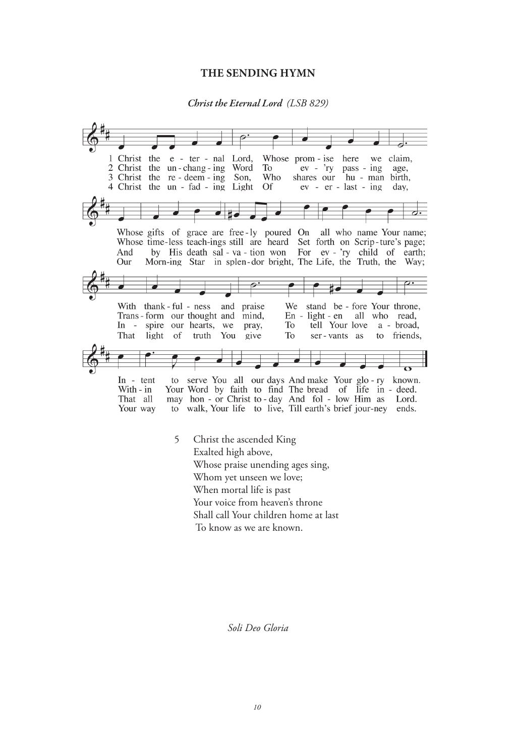#### **THE SENDING HYMN**

#### *Christ the Eternal Lord (LSB 829)*



Whose praise unending ages sing, Whom yet unseen we love; When mortal life is past Your voice from heaven's throne Shall call Your children home at last

To know as we are known.

*Soli Deo Gloria*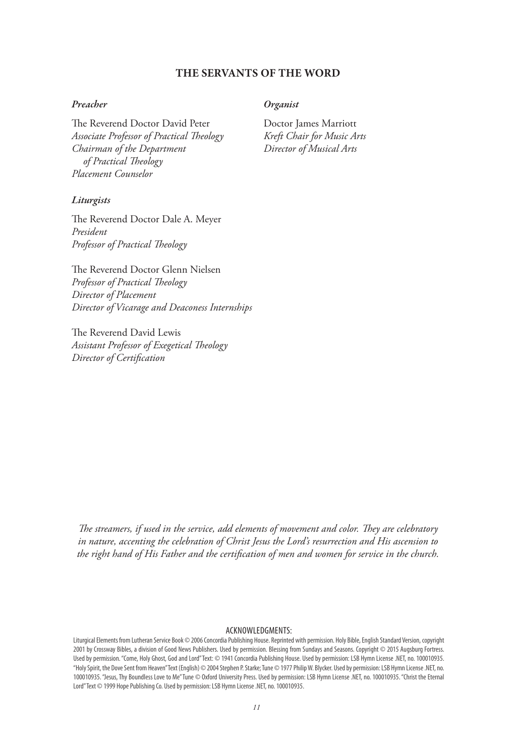#### **THE SERVANTS OF THE WORD**

#### *Preacher*

The Reverend Doctor David Peter *Associate Professor of Practical Theology Chairman of the Department of Practical Theology Placement Counselor*

#### *Liturgists*

The Reverend Doctor Dale A. Meyer *President Professor of Practical Theology*

The Reverend Doctor Glenn Nielsen *Professor of Practical Theology Director of Placement Director of Vicarage and Deaconess Internships*

The Reverend David Lewis *Assistant Professor of Exegetical Theology Director of Certification*

#### *Organist*

Doctor James Marriott *Kreft Chair for Music Arts Director of Musical Arts*

*The streamers, if used in the service, add elements of movement and color. They are celebratory in nature, accenting the celebration of Christ Jesus the Lord's resurrection and His ascension to the right hand of His Father and the certification of men and women for service in the church.*

#### ACKNOWLEDGMENTS:

Liturgical Elements from Lutheran Service Book © 2006 Concordia Publishing House. Reprinted with permission. Holy Bible, English Standard Version, copyright 2001 by Crossway Bibles, a division of Good News Publishers. Used by permission. Blessing from Sundays and Seasons. Copyright © 2015 Augsburg Fortress. Used by permission. "Come, Holy Ghost, God and Lord" Text: © 1941 Concordia Publishing House. Used by permission: LSB Hymn License .NET, no. 100010935. "Holy Spirit, the Dove Sent from Heaven" Text (English) © 2004 Stephen P. Starke; Tune © 1977 Philip W. Blycker. Used by permission: LSB Hymn License .NET, no. 100010935. "Jesus, Thy Boundless Love to Me" Tune © Oxford University Press. Used by permission: LSB Hymn License .NET, no. 100010935. "Christ the Eternal Lord" Text © 1999 Hope Publishing Co. Used by permission: LSB Hymn License .NET, no. 100010935.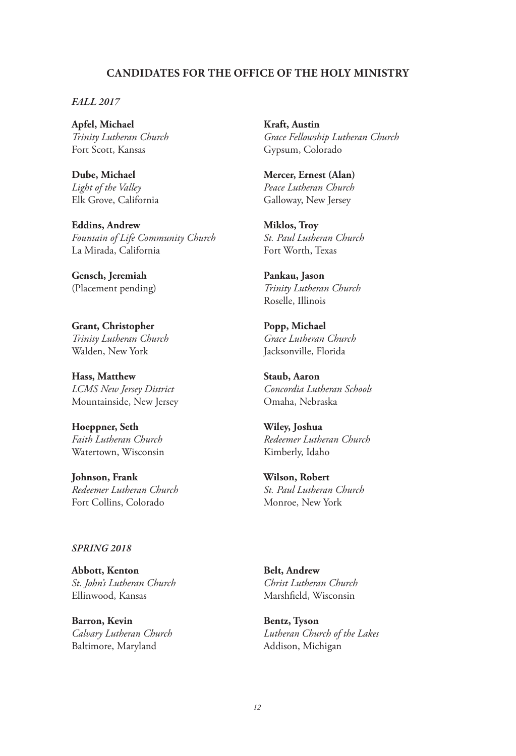#### **CANDIDATES FOR THE OFFICE OF THE HOLY MINISTRY**

*FALL 2017*

**Apfel, Michael** *Trinity Lutheran Church* Fort Scott, Kansas

**Dube, Michael** *Light of the Valley* Elk Grove, California

**Eddins, Andrew** *Fountain of Life Community Church* La Mirada, California

**Gensch, Jeremiah** (Placement pending)

**Grant, Christopher** *Trinity Lutheran Church* Walden, New York

**Hass, Matthew** *LCMS New Jersey District* Mountainside, New Jersey

**Hoeppner, Seth** *Faith Lutheran Church* Watertown, Wisconsin

**Johnson, Frank** *Redeemer Lutheran Church* Fort Collins, Colorado

#### *SPRING 2018*

**Abbott, Kenton** *St. John's Lutheran Church* Ellinwood, Kansas

**Barron, Kevin** *Calvary Lutheran Church* Baltimore, Maryland

**Kraft, Austin** *Grace Fellowship Lutheran Church* Gypsum, Colorado

**Mercer, Ernest (Alan)** *Peace Lutheran Church* Galloway, New Jersey

**Miklos, Troy** *St. Paul Lutheran Church* Fort Worth, Texas

**Pankau, Jason** *Trinity Lutheran Church* Roselle, Illinois

**Popp, Michael** *Grace Lutheran Church* Jacksonville, Florida

**Staub, Aaron** *Concordia Lutheran Schools* Omaha, Nebraska

**Wiley, Joshua** *Redeemer Lutheran Church* Kimberly, Idaho

**Wilson, Robert** *St. Paul Lutheran Church* Monroe, New York

**Belt, Andrew** *Christ Lutheran Church* Marshfield, Wisconsin

**Bentz, Tyson** *Lutheran Church of the Lakes* Addison, Michigan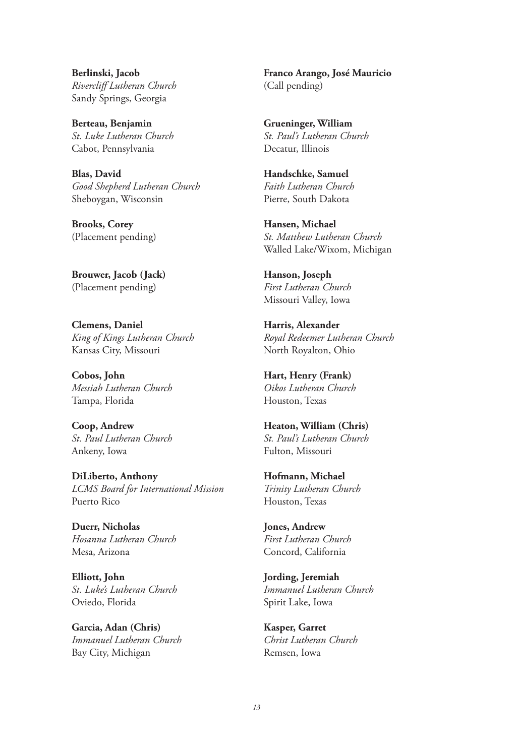**Berlinski, Jacob** *Rivercliff Lutheran Church* Sandy Springs, Georgia

**Berteau, Benjamin** *St. Luke Lutheran Church* Cabot, Pennsylvania

**Blas, David** *Good Shepherd Lutheran Church* Sheboygan, Wisconsin

**Brooks, Corey** (Placement pending)

**Brouwer, Jacob (Jack)** (Placement pending)

**Clemens, Daniel** *King of Kings Lutheran Church* Kansas City, Missouri

**Cobos, John** *Messiah Lutheran Church* Tampa, Florida

**Coop, Andrew** *St. Paul Lutheran Church* Ankeny, Iowa

**DiLiberto, Anthony** *LCMS Board for International Mission* Puerto Rico

**Duerr, Nicholas** *Hosanna Lutheran Church* Mesa, Arizona

**Elliott, John** *St. Luke's Lutheran Church* Oviedo, Florida

**Garcia, Adan (Chris)** *Immanuel Lutheran Church* Bay City, Michigan

**Franco Arango, José Mauricio** (Call pending)

**Grueninger, William** *St. Paul's Lutheran Church* Decatur, Illinois

**Handschke, Samuel** *Faith Lutheran Church* Pierre, South Dakota

**Hansen, Michael** *St. Matthew Lutheran Church* Walled Lake/Wixom, Michigan

**Hanson, Joseph** *First Lutheran Church* Missouri Valley, Iowa

**Harris, Alexander** *Royal Redeemer Lutheran Church* North Royalton, Ohio

**Hart, Henry (Frank)** *Oikos Lutheran Church* Houston, Texas

**Heaton, William (Chris)** *St. Paul's Lutheran Church* Fulton, Missouri

**Hofmann, Michael** *Trinity Lutheran Church* Houston, Texas

**Jones, Andrew** *First Lutheran Church* Concord, California

**Jording, Jeremiah** *Immanuel Lutheran Church* Spirit Lake, Iowa

**Kasper, Garret** *Christ Lutheran Church* Remsen, Iowa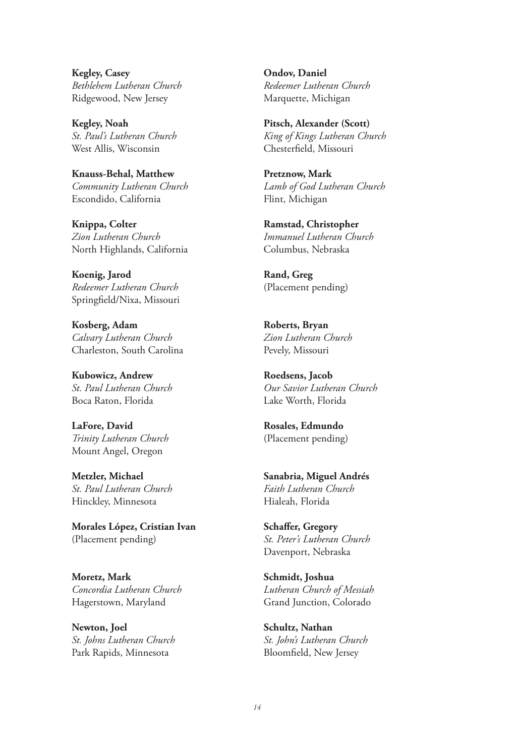**Kegley, Casey** *Bethlehem Lutheran Church* Ridgewood, New Jersey

**Kegley, Noah** *St. Paul's Lutheran Church* West Allis, Wisconsin

**Knauss-Behal, Matthew** *Community Lutheran Church* Escondido, California

**Knippa, Colter** *Zion Lutheran Church* North Highlands, California

**Koenig, Jarod** *Redeemer Lutheran Church* Springfield/Nixa, Missouri

**Kosberg, Adam** *Calvary Lutheran Church* Charleston, South Carolina

**Kubowicz, Andrew** *St. Paul Lutheran Church* Boca Raton, Florida

**LaFore, David** *Trinity Lutheran Church* Mount Angel, Oregon

**Metzler, Michael** *St. Paul Lutheran Church* Hinckley, Minnesota

**Morales López, Cristian Ivan** (Placement pending)

**Moretz, Mark** *Concordia Lutheran Church* Hagerstown, Maryland

**Newton, Joel** *St. Johns Lutheran Church* Park Rapids, Minnesota

**Ondov, Daniel** *Redeemer Lutheran Church* Marquette, Michigan

**Pitsch, Alexander (Scott)** *King of Kings Lutheran Church* Chesterfield, Missouri

**Pretznow, Mark** *Lamb of God Lutheran Church* Flint, Michigan

**Ramstad, Christopher** *Immanuel Lutheran Church* Columbus, Nebraska

**Rand, Greg** (Placement pending)

**Roberts, Bryan** *Zion Lutheran Church* Pevely, Missouri

**Roedsens, Jacob** *Our Savior Lutheran Church* Lake Worth, Florida

**Rosales, Edmundo** (Placement pending)

**Sanabria, Miguel Andrés** *Faith Lutheran Church* Hialeah, Florida

**Schaffer, Gregory** *St. Peter's Lutheran Church* Davenport, Nebraska

**Schmidt, Joshua** *Lutheran Church of Messiah* Grand Junction, Colorado

**Schultz, Nathan** *St. John's Lutheran Church* Bloomfield, New Jersey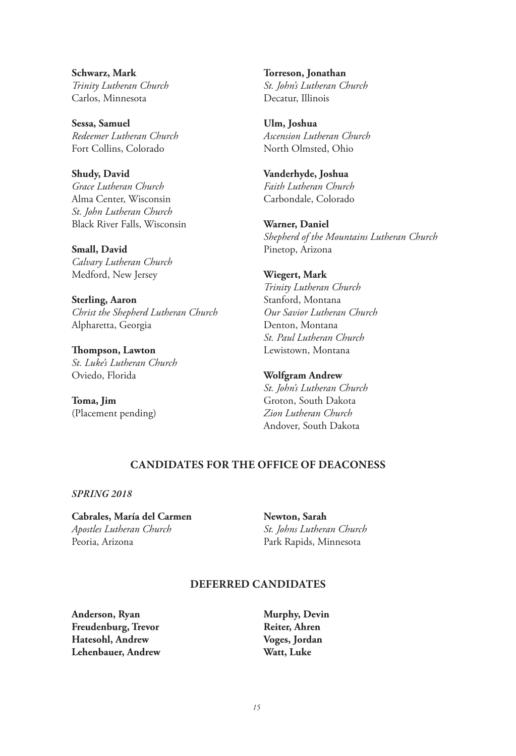**Schwarz, Mark** *Trinity Lutheran Church* Carlos, Minnesota

**Sessa, Samuel** *Redeemer Lutheran Church* Fort Collins, Colorado

**Shudy, David** *Grace Lutheran Church* Alma Center, Wisconsin *St. John Lutheran Church* Black River Falls, Wisconsin

**Small, David** *Calvary Lutheran Church* Medford, New Jersey

**Sterling, Aaron** *Christ the Shepherd Lutheran Church* Alpharetta, Georgia

**Thompson, Lawton** *St. Luke's Lutheran Church* Oviedo, Florida

**Toma, Jim** (Placement pending) **Torreson, Jonathan** *St. John's Lutheran Church* Decatur, Illinois

**Ulm, Joshua** *Ascension Lutheran Church* North Olmsted, Ohio

**Vanderhyde, Joshua** *Faith Lutheran Church* Carbondale, Colorado

**Warner, Daniel** *Shepherd of the Mountains Lutheran Church* Pinetop, Arizona

#### **Wiegert, Mark**

*Trinity Lutheran Church* Stanford, Montana *Our Savior Lutheran Church* Denton, Montana *St. Paul Lutheran Church* Lewistown, Montana

**Wolfgram Andrew** *St. John's Lutheran Church*

Groton, South Dakota *Zion Lutheran Church* Andover, South Dakota

#### **CANDIDATES FOR THE OFFICE OF DEACONESS**

*SPRING 2018*

**Cabrales, María del Carmen** *Apostles Lutheran Church* Peoria, Arizona

**Newton, Sarah** *St. Johns Lutheran Church* Park Rapids, Minnesota

#### **DEFERRED CANDIDATES**

**Anderson, Ryan Freudenburg, Trevor Hatesohl, Andrew Lehenbauer, Andrew** **Murphy, Devin Reiter, Ahren Voges, Jordan Watt, Luke**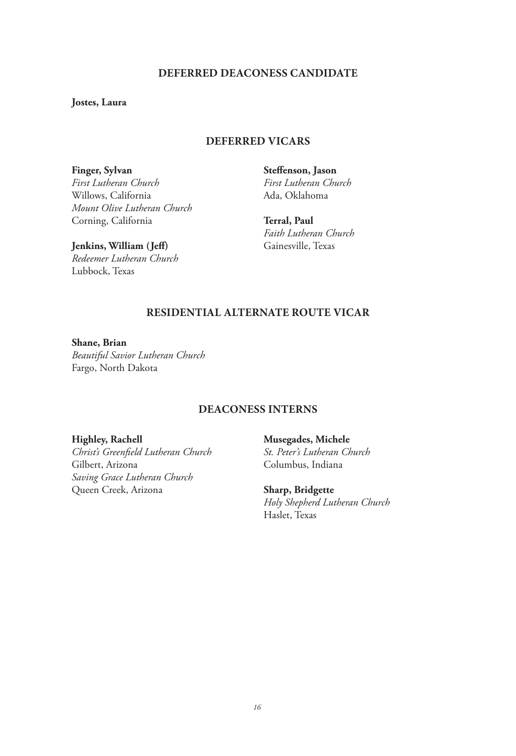#### **DEFERRED DEACONESS CANDIDATE**

**Jostes, Laura**

#### **DEFERRED VICARS**

**Finger, Sylvan** *First Lutheran Church* Willows, California *Mount Olive Lutheran Church* Corning, California

**Steffenson, Jason** *First Lutheran Church* Ada, Oklahoma

**Terral, Paul** *Faith Lutheran Church* Gainesville, Texas

**Jenkins, William (Jeff)** *Redeemer Lutheran Church* Lubbock, Texas

## **RESIDENTIAL ALTERNATE ROUTE VICAR**

**Shane, Brian** *Beautiful Savior Lutheran Church* Fargo, North Dakota

#### **DEACONESS INTERNS**

#### **Highley, Rachell**

*Christ's Greenfield Lutheran Church* Gilbert, Arizona *Saving Grace Lutheran Church* Queen Creek, Arizona

**Musegades, Michele** *St. Peter's Lutheran Church*

Columbus, Indiana

**Sharp, Bridgette** *Holy Shepherd Lutheran Church* Haslet, Texas